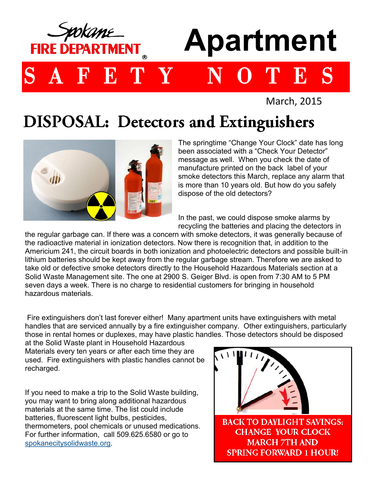

March, 2015

## **DISPOSAL: Detectors and Extinguishers**



The springtime "Change Your Clock" date has long been associated with a "Check Your Detector" message as well. When you check the date of manufacture printed on the back label of your smoke detectors this March, replace any alarm that is more than 10 years old. But how do you safely dispose of the old detectors?

In the past, we could dispose smoke alarms by recycling the batteries and placing the detectors in

the regular garbage can. If there was a concern with smoke detectors, it was generally because of the radioactive material in ionization detectors. Now there is recognition that, in addition to the Americium 241, the circuit boards in both ionization and photoelectric detectors and possible built-in lithium batteries should be kept away from the regular garbage stream. Therefore we are asked to take old or defective smoke detectors directly to the Household Hazardous Materials section at a Solid Waste Management site. The one at 2900 S. Geiger Blvd. is open from 7:30 AM to 5 PM seven days a week. There is no charge to residential customers for bringing in household hazardous materials.

Fire extinguishers don't last forever either! Many apartment units have extinguishers with metal handles that are serviced annually by a fire extinguisher company. Other extinguishers, particularly those in rental homes or duplexes, may have plastic handles. Those detectors should be disposed

at the Solid Waste plant in Household Hazardous Materials every ten years or after each time they are used. Fire extinguishers with plastic handles cannot be recharged.

If you need to make a trip to the Solid Waste building, you may want to bring along additional hazardous materials at the same time. The list could include batteries, fluorescent light bulbs, pesticides, thermometers, pool chemicals or unused medications. For further information, call 509.625.6580 or go to [spokanecitysolidwaste.org.](http://www.spokanecitysolidwaste.org)